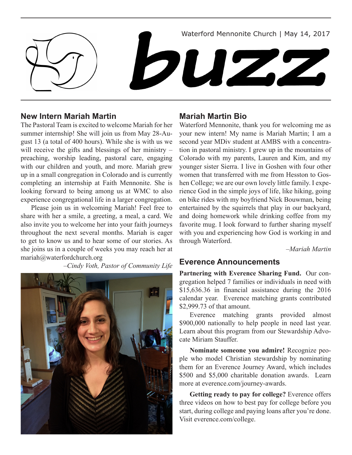Waterford Mennonite Church | May 14, 2017

# **New Intern Mariah Martin**

The Pastoral Team is excited to welcome Mariah for her summer internship! She will join us from May 28-August 13 (a total of 400 hours). While she is with us we will receive the gifts and blessings of her ministry – preaching, worship leading, pastoral care, engaging with our children and youth, and more. Mariah grew up in a small congregation in Colorado and is currently completing an internship at Faith Mennonite. She is looking forward to being among us at WMC to also experience congregational life in a larger congregation.

Please join us in welcoming Mariah! Feel free to share with her a smile, a greeting, a meal, a card. We also invite you to welcome her into your faith journeys throughout the next several months. Mariah is eager to get to know us and to hear some of our stories. As she joins us in a couple of weeks you may reach her at mariah@waterfordchurch.org

*–Cindy Voth, Pastor of Community Life*



#### **Mariah Martin Bio**

buzz

Waterford Mennonite, thank you for welcoming me as your new intern! My name is Mariah Martin; I am a second year MDiv student at AMBS with a concentration in pastoral ministry. I grew up in the mountains of Colorado with my parents, Lauren and Kim, and my younger sister Sierra. I live in Goshen with four other women that transferred with me from Hesston to Goshen College; we are our own lovely little family. I experience God in the simple joys of life, like hiking, going on bike rides with my boyfriend Nick Bouwman, being entertained by the squirrels that play in our backyard, and doing homework while drinking coffee from my favorite mug. I look forward to further sharing myself with you and experiencing how God is working in and through Waterford.

*–Mariah Martin*

### **Everence Announcements**

**Partnering with Everence Sharing Fund.** Our congregation helped 7 families or individuals in need with \$15,636.36 in financial assistance during the 2016 calendar year. Everence matching grants contributed \$2,999.73 of that amount.

Everence matching grants provided almost \$900,000 nationally to help people in need last year. Learn about this program from our Stewardship Advocate Miriam Stauffer.

**Nominate someone you admire!** Recognize people who model Christian stewardship by nominating them for an Everence Journey Award, which includes \$500 and \$5,000 charitable donation awards. Learn more at everence.com/journey-awards.

**Getting ready to pay for college?** Everence offers three videos on how to best pay for college before you start, during college and paying loans after you're done. Visit everence.com/college.